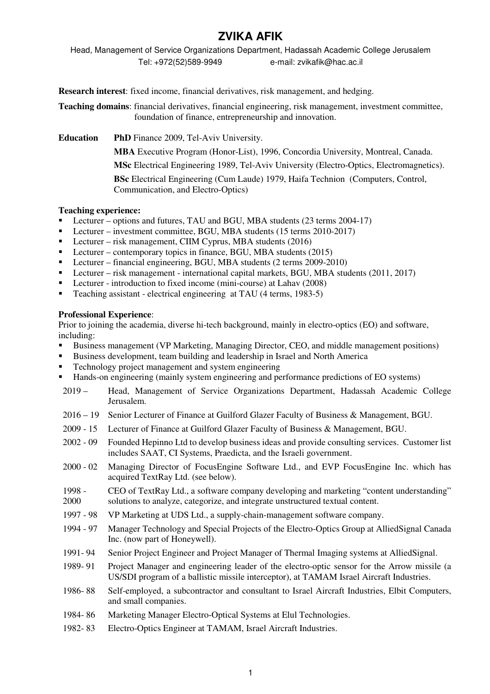# **ZVIKA AFIK**

Head, Management of Service Organizations Department, Hadassah Academic College Jerusalem Tel: +972(52)589-9949 e-mail: zvikafik@hac.ac.il

**Research interest**: fixed income, financial derivatives, risk management, and hedging.

**Teaching domains**: financial derivatives, financial engineering, risk management, investment committee, foundation of finance, entrepreneurship and innovation.

**Education PhD** Finance 2009, Tel-Aviv University.

**MBA** Executive Program (Honor-List), 1996, Concordia University, Montreal, Canada.

**MSc** Electrical Engineering 1989, Tel-Aviv University (Electro-Optics, Electromagnetics).

**BSc** Electrical Engineering (Cum Laude) 1979, Haifa Technion (Computers, Control, Communication, and Electro-Optics)

# **Teaching experience:**

- Lecturer options and futures, TAU and BGU, MBA students (23 terms 2004-17)
- Lecturer investment committee, BGU, MBA students (15 terms 2010-2017)
- Lecturer risk management, CIIM Cyprus, MBA students (2016)
- Lecturer contemporary topics in finance, BGU, MBA students  $(2015)$
- Lecturer financial engineering, BGU, MBA students (2 terms 2009-2010)
- Lecturer risk management international capital markets, BGU, MBA students (2011, 2017)
- **Lecturer introduction to fixed income (mini-course) at Lahav (2008)**
- Teaching assistant electrical engineering at TAU (4 terms, 1983-5)

#### **Professional Experience**:

Prior to joining the academia, diverse hi-tech background, mainly in electro-optics (EO) and software, including:

- Business management (VP Marketing, Managing Director, CEO, and middle management positions)
- Business development, team building and leadership in Israel and North America
- Technology project management and system engineering
- Hands-on engineering (mainly system engineering and performance predictions of EO systems)
- 2019 Head, Management of Service Organizations Department, Hadassah Academic College Jerusalem.
- 2016 19 Senior Lecturer of Finance at Guilford Glazer Faculty of Business & Management, BGU.
- 2009 15 Lecturer of Finance at Guilford Glazer Faculty of Business & Management, BGU.
- 2002 09 Founded Hepinno Ltd to develop business ideas and provide consulting services. Customer list includes SAAT, CI Systems, Praedicta, and the Israeli government.
- 2000 02 Managing Director of FocusEngine Software Ltd., and EVP FocusEngine Inc. which has acquired TextRay Ltd. (see below).
- 1998 2000 CEO of TextRay Ltd., a software company developing and marketing "content understanding" solutions to analyze, categorize, and integrate unstructured textual content.
- 1997 98 VP Marketing at UDS Ltd., a supply-chain-management software company.
- 1994 97 Manager Technology and Special Projects of the Electro-Optics Group at AlliedSignal Canada Inc. (now part of Honeywell).
- 1991- 94 Senior Project Engineer and Project Manager of Thermal Imaging systems at AlliedSignal.
- 1989- 91 Project Manager and engineering leader of the electro-optic sensor for the Arrow missile (a US/SDI program of a ballistic missile interceptor), at TAMAM Israel Aircraft Industries.
- 1986- 88 Self-employed, a subcontractor and consultant to Israel Aircraft Industries, Elbit Computers, and small companies.
- 1984- 86 Marketing Manager Electro-Optical Systems at Elul Technologies.
- 1982- 83 Electro-Optics Engineer at TAMAM, Israel Aircraft Industries.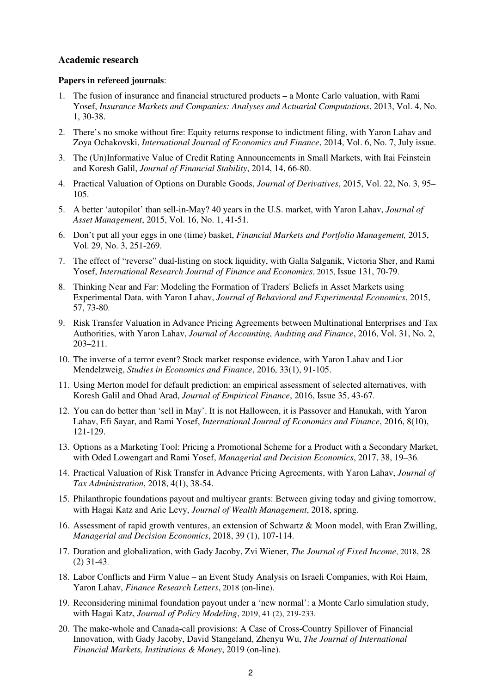#### **Academic research**

#### **Papers in refereed journals**:

- 1. The fusion of insurance and financial structured products a Monte Carlo valuation, with Rami Yosef, *Insurance Markets and Companies: Analyses and Actuarial Computations*, 2013, Vol. 4, No. 1, 30-38.
- 2. There's no smoke without fire: Equity returns response to indictment filing, with Yaron Lahav and Zoya Ochakovski, *International Journal of Economics and Finance*, 2014, Vol. 6, No. 7, July issue.
- 3. The (Un)Informative Value of Credit Rating Announcements in Small Markets, with Itai Feinstein and Koresh Galil, *Journal of Financial Stability*, 2014, 14, 66-80.
- 4. Practical Valuation of Options on Durable Goods, *Journal of Derivatives*, 2015, Vol. 22, No. 3, 95– 105.
- 5. A better 'autopilot' than sell-in-May? 40 years in the U.S. market, with Yaron Lahav, *Journal of Asset Management*, 2015, Vol. 16, No. 1, 41-51.
- 6. Don't put all your eggs in one (time) basket, *Financial Markets and Portfolio Management,* 2015, Vol. 29, No. 3, 251-269.
- 7. The effect of "reverse" dual-listing on stock liquidity, with Galla Salganik, Victoria Sher, and Rami Yosef, *International Research Journal of Finance and Economics*, 2015, Issue 131, 70-79.
- 8. Thinking Near and Far: Modeling the Formation of Traders' Beliefs in Asset Markets using Experimental Data, with Yaron Lahav, *Journal of Behavioral and Experimental Economics*, 2015, 57, 73-80.
- 9. Risk Transfer Valuation in Advance Pricing Agreements between Multinational Enterprises and Tax Authorities, with Yaron Lahav, *Journal of Accounting, Auditing and Finance*, 2016, Vol. 31, No. 2, 203–211.
- 10. The inverse of a terror event? Stock market response evidence, with Yaron Lahav and Lior Mendelzweig, *Studies in Economics and Finance*, 2016, 33(1), 91-105.
- 11. Using Merton model for default prediction: an empirical assessment of selected alternatives, with Koresh Galil and Ohad Arad, *Journal of Empirical Finance*, 2016, Issue 35, 43-67.
- 12. You can do better than 'sell in May'. It is not Halloween, it is Passover and Hanukah, with Yaron Lahav, Efi Sayar, and Rami Yosef, *International Journal of Economics and Finance*, 2016, 8(10), 121-129.
- 13. Options as a Marketing Tool: Pricing a Promotional Scheme for a Product with a Secondary Market, with Oded Lowengart and Rami Yosef, *Managerial and Decision Economics*, 2017, 38, 19–36.
- 14. Practical Valuation of Risk Transfer in Advance Pricing Agreements, with Yaron Lahav, *Journal of Tax Administration*, 2018, 4(1), 38-54.
- 15. Philanthropic foundations payout and multiyear grants: Between giving today and giving tomorrow, with Hagai Katz and Arie Levy, *Journal of Wealth Management*, 2018, spring.
- 16. Assessment of rapid growth ventures, an extension of Schwartz & Moon model, with Eran Zwilling, *Managerial and Decision Economics*, 2018, 39 (1), 107-114.
- 17. Duration and globalization, with Gady Jacoby, Zvi Wiener, *The Journal of Fixed Income*, 2018, 28 (2) 31-43.
- 18. Labor Conflicts and Firm Value an Event Study Analysis on Israeli Companies, with Roi Haim, Yaron Lahav, *Finance Research Letters*, 2018 (on-line).
- 19. Reconsidering minimal foundation payout under a 'new normal': a Monte Carlo simulation study, with Hagai Katz, *Journal of Policy Modeling*, 2019, 41 (2), 219-233.
- 20. The make-whole and Canada-call provisions: A Case of Cross-Country Spillover of Financial Innovation, with Gady Jacoby, David Stangeland, Zhenyu Wu, *The Journal of International Financial Markets, Institutions & Money*, 2019 (on-line).